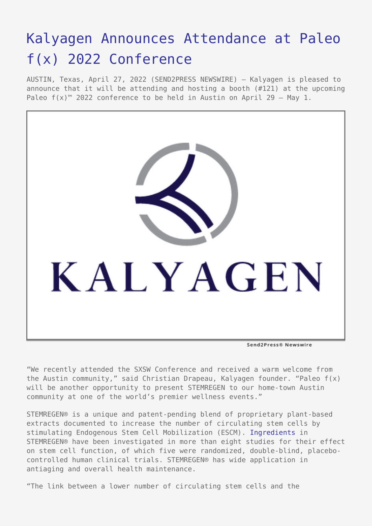# [Kalyagen Announces Attendance at Paleo](https://www.send2press.com/wire/kalyagen-announces-attendance-at-paleo-fx-2022-conference/) [f\(x\) 2022 Conference](https://www.send2press.com/wire/kalyagen-announces-attendance-at-paleo-fx-2022-conference/)

AUSTIN, Texas, April 27, 2022 (SEND2PRESS NEWSWIRE) — Kalyagen is pleased to announce that it will be attending and hosting a booth (#121) at the upcoming Paleo  $f(x)$ <sup>™</sup> 2022 conference to be held in Austin on April 29 – May 1.



"We recently attended the SXSW Conference and received a warm welcome from the Austin community," said Christian Drapeau, Kalyagen founder. "Paleo f(x) will be another opportunity to present STEMREGEN to our home-town Austin community at one of the world's premier wellness events."

STEMREGEN® is a unique and patent-pending blend of proprietary plant-based extracts documented to increase the number of circulating stem cells by stimulating Endogenous Stem Cell Mobilization (ESCM). [Ingredients](https://www.kalyagen.com/ingredients/) in STEMREGEN® have been investigated in more than eight studies for their effect on stem cell function, of which five were randomized, double-blind, placebocontrolled human clinical trials. STEMREGEN® has wide application in antiaging and overall health maintenance.

"The link between a lower number of circulating stem cells and the